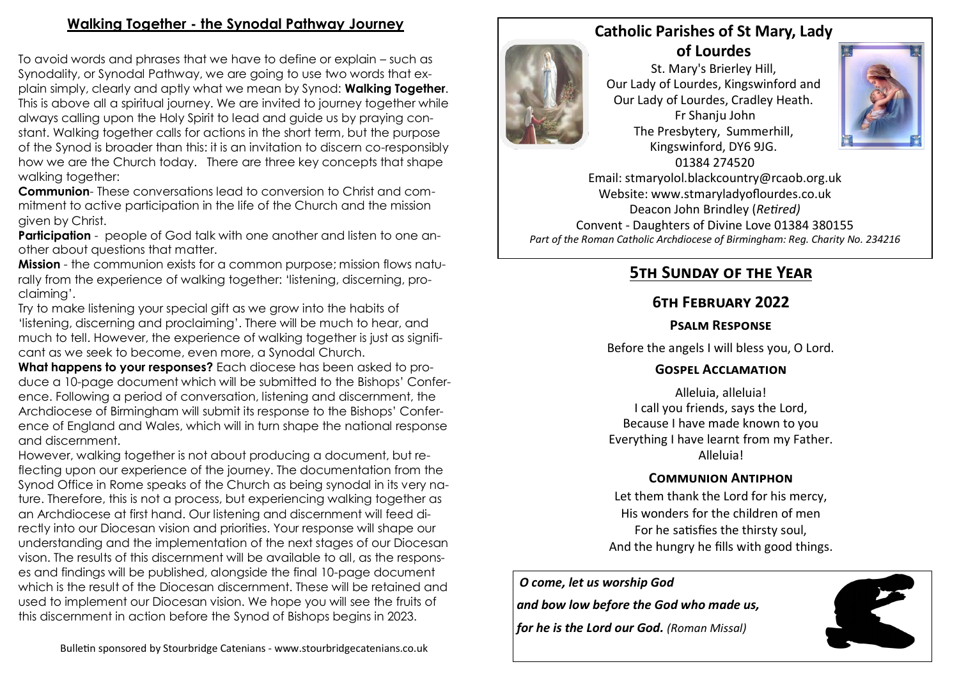# **Walking Together - the Synodal Pathway Journey**

To avoid words and phrases that we have to define or explain – such as Synodality, or Synodal Pathway, we are going to use two words that explain simply, clearly and aptly what we mean by Synod: **Walking Together**. This is above all a spiritual journey. We are invited to journey together while always calling upon the Holy Spirit to lead and guide us by praying constant. Walking together calls for actions in the short term, but the purpose of the Synod is broader than this: it is an invitation to discern co-responsibly how we are the Church today. There are three key concepts that shape walking together:

**Communion**- These conversations lead to conversion to Christ and commitment to active participation in the life of the Church and the mission given by Christ.

**Participation** - people of God talk with one another and listen to one another about questions that matter.

**Mission** - the communion exists for a common purpose; mission flows naturally from the experience of walking together: 'listening, discerning, proclaiming'.

Try to make listening your special gift as we grow into the habits of 'listening, discerning and proclaiming'. There will be much to hear, and much to tell. However, the experience of walking together is just as significant as we seek to become, even more, a Synodal Church.

**What happens to your responses?** Each diocese has been asked to produce a 10-page document which will be submitted to the Bishops' Conference. Following a period of conversation, listening and discernment, the Archdiocese of Birmingham will submit its response to the Bishops' Conference of England and Wales, which will in turn shape the national response and discernment.

However, walking together is not about producing a document, but reflecting upon our experience of the journey. The documentation from the Synod Office in Rome speaks of the Church as being synodal in its very nature. Therefore, this is not a process, but experiencing walking together as an Archdiocese at first hand. Our listening and discernment will feed directly into our Diocesan vision and priorities. Your response will shape our understanding and the implementation of the next stages of our Diocesan vison. The results of this discernment will be available to all, as the responses and findings will be published, alongside the final 10-page document which is the result of the Diocesan discernment. These will be retained and used to implement our Diocesan vision. We hope you will see the fruits of this discernment in action before the Synod of Bishops begins in 2023.



St. Mary's Brierley Hill, Our Lady of Lourdes, Kingswinford and Our Lady of Lourdes, Cradley Heath. Fr Shanju John The Presbytery, Summerhill, Kingswinford, DY6 9JG. 01384 274520



Email: stmaryolol.blackcountry@rcaob.org.uk Website: www.stmaryladyoflourdes.co.uk Deacon John Brindley (*Retired)* Convent - Daughters of Divine Love 01384 380155 *Part of the Roman Catholic Archdiocese of Birmingham: Reg. Charity No. 234216*

# **5th Sunday of the Year**

# **6th February 2022**

#### **Psalm Response**

Before the angels I will bless you, O Lord.

## **Gospel Acclamation**

Alleluia, alleluia! I call you friends, says the Lord, Because I have made known to you Everything I have learnt from my Father. Alleluia!

## **Communion Antiphon**

Let them thank the Lord for his mercy, His wonders for the children of men For he satisfies the thirsty soul, And the hungry he fills with good things.

#### *O come, let us worship God*

*and bow low before the God who made us,* 

*for he is the Lord our God. (Roman Missal)*